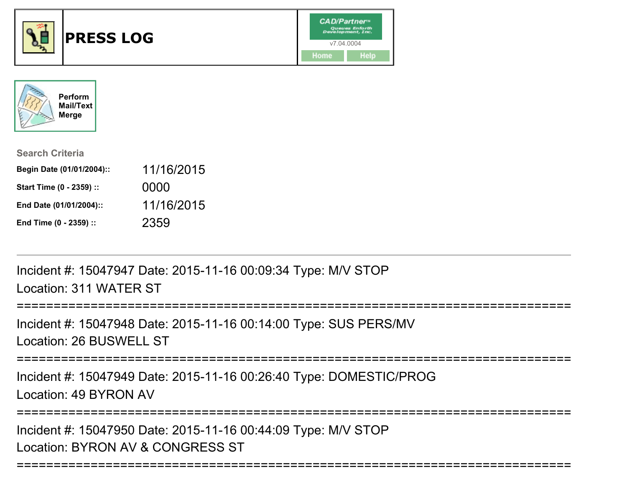



| <b>Search Criteria</b>    |            |
|---------------------------|------------|
| Begin Date (01/01/2004):: | 11/16/2015 |
| Start Time (0 - 2359) ::  | 0000       |
| End Date (01/01/2004)::   | 11/16/2015 |
| End Time (0 - 2359) ::    | 2359       |

Incident #: 15047947 Date: 2015-11-16 00:09:34 Type: M/V STOPLocation: 311 WATER ST

============== Incident #: 15047948 Date: 2015-11-16 00:14:00 Type: SUS PERS/MV

Location: 26 BUSWELL ST

===========================================================================

Incident #: 15047949 Date: 2015-11-16 00:26:40 Type: DOMESTIC/PROGLocation: 49 BYRON AV

===========================================================================

===========================================================================

Incident #: 15047950 Date: 2015-11-16 00:44:09 Type: M/V STOPLocation: BYRON AV & CONGRESS ST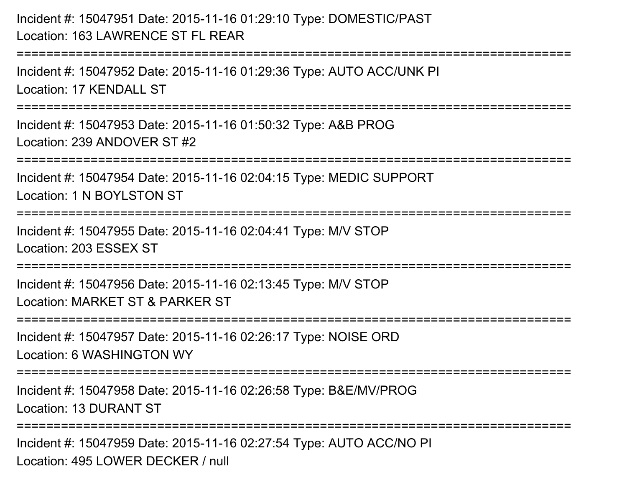## Incident #: 15047951 Date: 2015-11-16 01:29:10 Type: DOMESTIC/PASTLocation: 163 LAWRENCE ST FL REAR

Incident #: 15047952 Date: 2015-11-16 01:29:36 Type: AUTO ACC/UNK PILocation: 17 KENDALL ST

===========================================================================

Incident #: 15047953 Date: 2015-11-16 01:50:32 Type: A&B PROGLocation: 239 ANDOVER ST #2

===========================================================================

Incident #: 15047954 Date: 2015-11-16 02:04:15 Type: MEDIC SUPPORT

Location: 1 N BOYLSTON ST

===========================================================================

=========================

Incident #: 15047955 Date: 2015-11-16 02:04:41 Type: M/V STOPLocation: 203 ESSEX ST

===========================================================================

Incident #: 15047956 Date: 2015-11-16 02:13:45 Type: M/V STOPLocation: MARKET ST & PARKER ST

===========================================================================

Incident #: 15047957 Date: 2015-11-16 02:26:17 Type: NOISE ORDLocation: 6 WASHINGTON WY

===========================================================================

Incident #: 15047958 Date: 2015-11-16 02:26:58 Type: B&E/MV/PROGLocation: 13 DURANT ST

===========================================================================

Incident #: 15047959 Date: 2015-11-16 02:27:54 Type: AUTO ACC/NO PILocation: 495 LOWER DECKER / null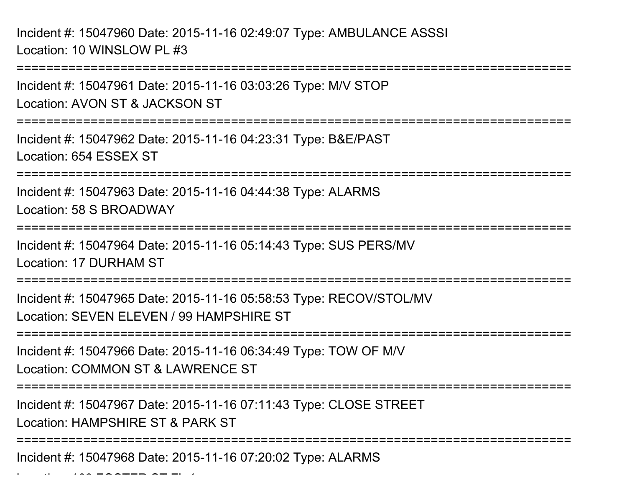Incident #: 15047960 Date: 2015-11-16 02:49:07 Type: AMBULANCE ASSSILocation: 10 WINSLOW PL #3

Location: 109 FOSTER ST FL 1

===========================================================================Incident #: 15047961 Date: 2015-11-16 03:03:26 Type: M/V STOPLocation: AVON ST & JACKSON ST===========================================================================Incident #: 15047962 Date: 2015-11-16 04:23:31 Type: B&E/PASTLocation: 654 ESSEX ST===========================================================================Incident #: 15047963 Date: 2015-11-16 04:44:38 Type: ALARMSLocation: 58 S BROADWAY===========================================================================Incident #: 15047964 Date: 2015-11-16 05:14:43 Type: SUS PERS/MVLocation: 17 DURHAM ST===========================================================================Incident #: 15047965 Date: 2015-11-16 05:58:53 Type: RECOV/STOL/MVLocation: SEVEN ELEVEN / 99 HAMPSHIRE ST===========================================================================Incident #: 15047966 Date: 2015-11-16 06:34:49 Type: TOW OF M/VLocation: COMMON ST & LAWRENCE ST===========================================================================Incident #: 15047967 Date: 2015-11-16 07:11:43 Type: CLOSE STREETLocation: HAMPSHIRE ST & PARK ST===========================================================================Incident #: 15047968 Date: 2015-11-16 07:20:02 Type: ALARMS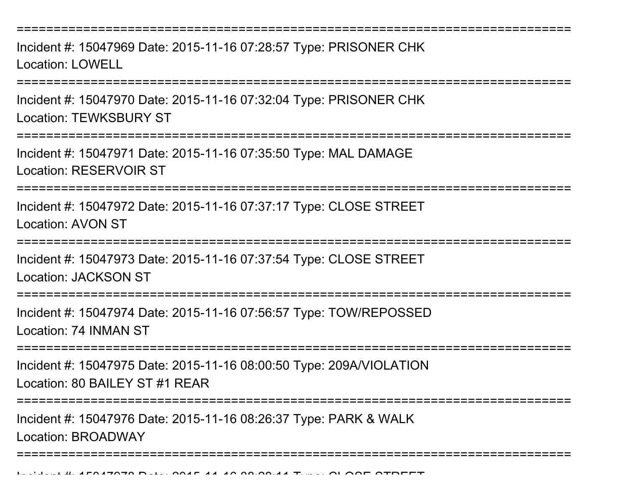===========================================================================

Incident #: 15047969 Date: 2015-11-16 07:28:57 Type: PRISONER CHKLocation: LOWELL

===========================================================================

Incident #: 15047970 Date: 2015-11-16 07:32:04 Type: PRISONER CHKLocation: TEWKSBURY ST

===========================================================================

Incident #: 15047971 Date: 2015-11-16 07:35:50 Type: MAL DAMAGELocation: RESERVOIR ST

===========================================================================

Incident #: 15047972 Date: 2015-11-16 07:37:17 Type: CLOSE STREETLocation: AVON ST

===========================================================================

Incident #: 15047973 Date: 2015-11-16 07:37:54 Type: CLOSE STREETLocation: JACKSON ST

===========================================================================

Incident #: 15047974 Date: 2015-11-16 07:56:57 Type: TOW/REPOSSEDLocation: 74 INMAN ST

===========================================================================

Incident #: 15047975 Date: 2015-11-16 08:00:50 Type: 209A/VIOLATIONLocation: 80 BAILEY ST #1 REAR

===============

Incident #: 15047976 Date: 2015-11-16 08:26:37 Type: PARK & WALKLocation: BROADWAY

===========================================================================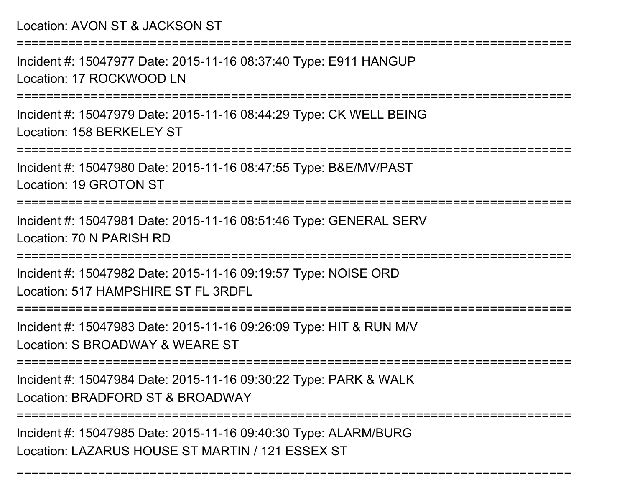Location: AVON ST & JACKSON ST

===========================================================================

Incident #: 15047977 Date: 2015-11-16 08:37:40 Type: E911 HANGUPLocation: 17 ROCKWOOD LN

===========================================================================

Incident #: 15047979 Date: 2015-11-16 08:44:29 Type: CK WELL BEINGLocation: 158 BERKEL FY ST

===========================================================================

Incident #: 15047980 Date: 2015-11-16 08:47:55 Type: B&E/MV/PASTLocation: 19 GROTON ST

===========================================================================

Incident #: 15047981 Date: 2015-11-16 08:51:46 Type: GENERAL SERVLocation: 70 N PARISH RD

===========================================================================

Incident #: 15047982 Date: 2015-11-16 09:19:57 Type: NOISE ORDLocation: 517 HAMPSHIRE ST FL 3RDFL

===================

Incident #: 15047983 Date: 2015-11-16 09:26:09 Type: HIT & RUN M/V

Location: S BROADWAY & WEARE ST

===========================================================================

Incident #: 15047984 Date: 2015-11-16 09:30:22 Type: PARK & WALK

Location: BRADFORD ST & BROADWAY

===========================================================================

===========================================================================

Incident #: 15047985 Date: 2015-11-16 09:40:30 Type: ALARM/BURGLocation: LAZARUS HOUSE ST MARTIN / 121 ESSEX ST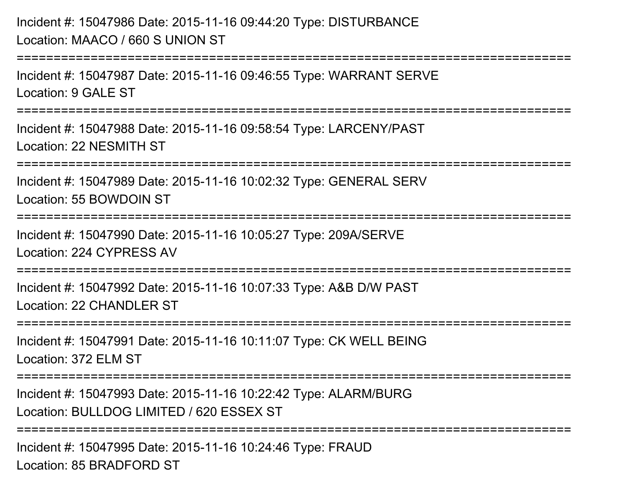Incident #: 15047986 Date: 2015-11-16 09:44:20 Type: DISTURBANCELocation: MAACO / 660 S UNION ST===========================================================================Incident #: 15047987 Date: 2015-11-16 09:46:55 Type: WARRANT SERVELocation: 9 GALE ST ===========================================================================Incident #: 15047988 Date: 2015-11-16 09:58:54 Type: LARCENY/PASTLocation: 22 NESMITH ST===========================================================================Incident #: 15047989 Date: 2015-11-16 10:02:32 Type: GENERAL SERVLocation: 55 BOWDOIN ST===========================================================================Incident #: 15047990 Date: 2015-11-16 10:05:27 Type: 209A/SERVELocation: 224 CYPRESS AV===========================================================================Incident #: 15047992 Date: 2015-11-16 10:07:33 Type: A&B D/W PASTLocation: 22 CHANDLER ST ===========================================================================Incident #: 15047991 Date: 2015-11-16 10:11:07 Type: CK WELL BEINGLocation: 372 ELM ST===========================================================================Incident #: 15047993 Date: 2015-11-16 10:22:42 Type: ALARM/BURGLocation: BULLDOG LIMITED / 620 ESSEX ST===========================================================================Incident #: 15047995 Date: 2015-11-16 10:24:46 Type: FRAUDLocation: 85 BRADFORD ST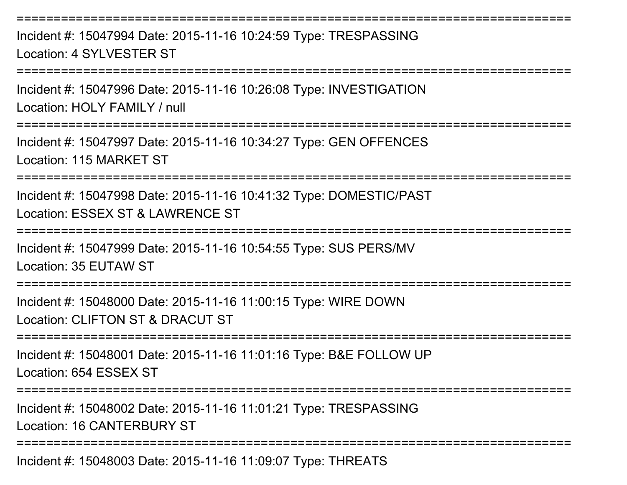Incident #: 15047994 Date: 2015-11-16 10:24:59 Type: TRESPASSINGLocation: 4 SYLVESTER ST

===========================================================================

===========================================================================

Incident #: 15047996 Date: 2015-11-16 10:26:08 Type: INVESTIGATIONLocation: HOLY FAMILY / null

===========================================================================

Incident #: 15047997 Date: 2015-11-16 10:34:27 Type: GEN OFFENCESLocation: 115 MARKET ST

===========================================================================

Incident #: 15047998 Date: 2015-11-16 10:41:32 Type: DOMESTIC/PASTLocation: ESSEX ST & LAWRENCE ST

===========================================================================

Incident #: 15047999 Date: 2015-11-16 10:54:55 Type: SUS PERS/MVLocation: 35 EUTAW ST

===========================================================================

Incident #: 15048000 Date: 2015-11-16 11:00:15 Type: WIRE DOWNLocation: CLIFTON ST & DRACUT ST

===========================================================================

Incident #: 15048001 Date: 2015-11-16 11:01:16 Type: B&E FOLLOW UPLocation: 654 ESSEX ST

===========================================================================

Incident #: 15048002 Date: 2015-11-16 11:01:21 Type: TRESPASSINGLocation: 16 CANTERBURY ST

===========================================================================

Incident #: 15048003 Date: 2015-11-16 11:09:07 Type: THREATS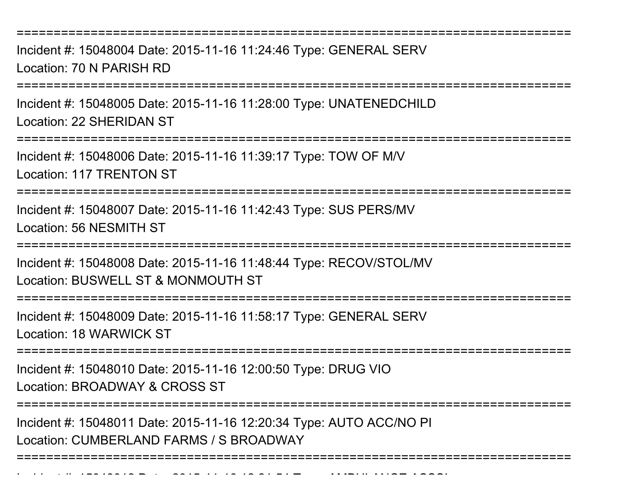===========================================================================

Incident #: 15048004 Date: 2015-11-16 11:24:46 Type: GENERAL SERVLocation: 70 N PARISH RD

===========================================================================

Incident #: 15048005 Date: 2015-11-16 11:28:00 Type: UNATENEDCHILDLocation: 22 SHERIDAN ST

===========================================================================

Incident #: 15048006 Date: 2015-11-16 11:39:17 Type: TOW OF M/VLocation: 117 TRENTON ST

===========================================================================

Incident #: 15048007 Date: 2015-11-16 11:42:43 Type: SUS PERS/MVLocation: 56 NESMITH ST

===========================================================================

Incident #: 15048008 Date: 2015-11-16 11:48:44 Type: RECOV/STOL/MVLocation: BUSWELL ST & MONMOUTH ST

===========================================================================

Incident #: 15048009 Date: 2015-11-16 11:58:17 Type: GENERAL SERVLocation: 18 WARWICK ST

**=====================** 

Incident #: 15048010 Date: 2015-11-16 12:00:50 Type: DRUG VIO

Location: BROADWAY & CROSS ST

Incident #: 15048012 Date: 2015

**=================** 

Incident #: 15048011 Date: 2015-11-16 12:20:34 Type: AUTO ACC/NO PILocation: CUMBERLAND FARMS / S BROADWAY

===========================================================================

- *11 16 16 21* - 1 <del>-</del> 1 - 11 - 11 - 11 - 12 - 12 - 14<br>-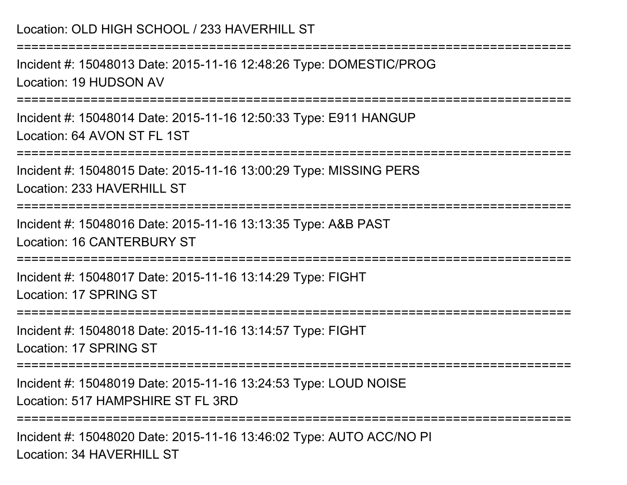| Location: OLD HIGH SCHOOL / 233 HAVERHILL ST                                                         |
|------------------------------------------------------------------------------------------------------|
| Incident #: 15048013 Date: 2015-11-16 12:48:26 Type: DOMESTIC/PROG<br>Location: 19 HUDSON AV         |
| Incident #: 15048014 Date: 2015-11-16 12:50:33 Type: E911 HANGUP<br>Location: 64 AVON ST FL 1ST      |
| Incident #: 15048015 Date: 2015-11-16 13:00:29 Type: MISSING PERS<br>Location: 233 HAVERHILL ST      |
| Incident #: 15048016 Date: 2015-11-16 13:13:35 Type: A&B PAST<br>Location: 16 CANTERBURY ST          |
| Incident #: 15048017 Date: 2015-11-16 13:14:29 Type: FIGHT<br>Location: 17 SPRING ST                 |
| Incident #: 15048018 Date: 2015-11-16 13:14:57 Type: FIGHT<br>Location: 17 SPRING ST                 |
| Incident #: 15048019 Date: 2015-11-16 13:24:53 Type: LOUD NOISE<br>Location: 517 HAMPSHIRE ST FL 3RD |
| Incident #: 15048020 Date: 2015-11-16 13:46:02 Type: AUTO ACC/NO PI                                  |

Location: 34 HAVERHILL ST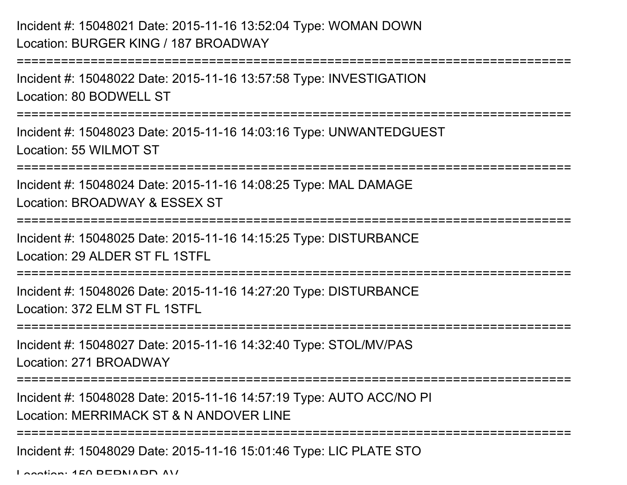## Incident #: 15048021 Date: 2015-11-16 13:52:04 Type: WOMAN DOWNLocation: BURGER KING / 187 BROADWAY

```
===========================================================================Incident #: 15048022 Date: 2015-11-16 13:57:58 Type: INVESTIGATIONLocation: 80 BODWELL ST===========================================================================Incident #: 15048023 Date: 2015-11-16 14:03:16 Type: UNWANTEDGUESTLocation: 55 WILMOT ST===========================================================================Incident #: 15048024 Date: 2015-11-16 14:08:25 Type: MAL DAMAGELocation: BROADWAY & ESSEX ST===========================================================================Incident #: 15048025 Date: 2015-11-16 14:15:25 Type: DISTURBANCELocation: 29 ALDER ST FL 1STFL
===========================================================================Incident #: 15048026 Date: 2015-11-16 14:27:20 Type: DISTURBANCELocation: 372 ELM ST FL 1STFL===========================================================================Incident #: 15048027 Date: 2015-11-16 14:32:40 Type: STOL/MV/PASLocation: 271 BROADWAY====================
Incident #: 15048028 Date: 2015-11-16 14:57:19 Type: AUTO ACC/NO PILocation: MERRIMACK ST & N ANDOVER LINE===========================================================================Incident #: 15048029 Date: 2015-11-16 15:01:46 Type: LIC PLATE STOLocation: 150 BERNARD AV
```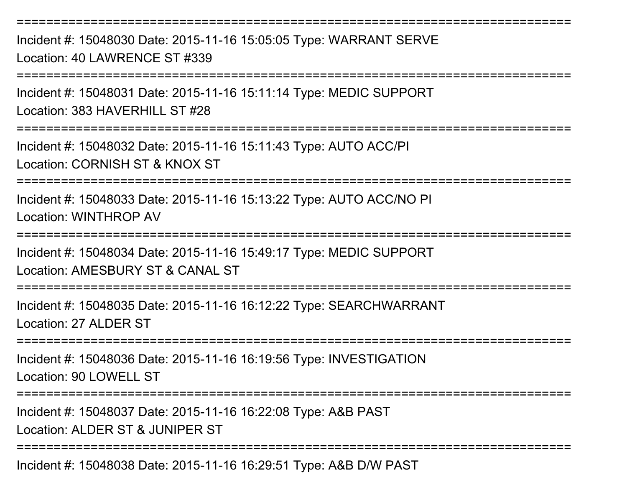Incident #: 15048030 Date: 2015-11-16 15:05:05 Type: WARRANT SERVELocation: 40 LAWRENCE ST #339

===========================================================================

===========================================================================

Incident #: 15048031 Date: 2015-11-16 15:11:14 Type: MEDIC SUPPORTLocation: 383 HAVERHILL ST #28

===========================================================================

Incident #: 15048032 Date: 2015-11-16 15:11:43 Type: AUTO ACC/PILocation: CORNISH ST & KNOX ST

===========================================================================

Incident #: 15048033 Date: 2015-11-16 15:13:22 Type: AUTO ACC/NO PILocation: WINTHROP AV

====================

Incident #: 15048034 Date: 2015-11-16 15:49:17 Type: MEDIC SUPPORTLocation: AMESBURY ST & CANAL ST

===========================================================================

Incident #: 15048035 Date: 2015-11-16 16:12:22 Type: SEARCHWARRANTLocation: 27 ALDER ST

======================

Incident #: 15048036 Date: 2015-11-16 16:19:56 Type: INVESTIGATION

Location: 90 LOWELL ST

===========================================================================

Incident #: 15048037 Date: 2015-11-16 16:22:08 Type: A&B PAST

Location: ALDER ST & JUNIPER ST

===========================================================================

Incident #: 15048038 Date: 2015-11-16 16:29:51 Type: A&B D/W PAST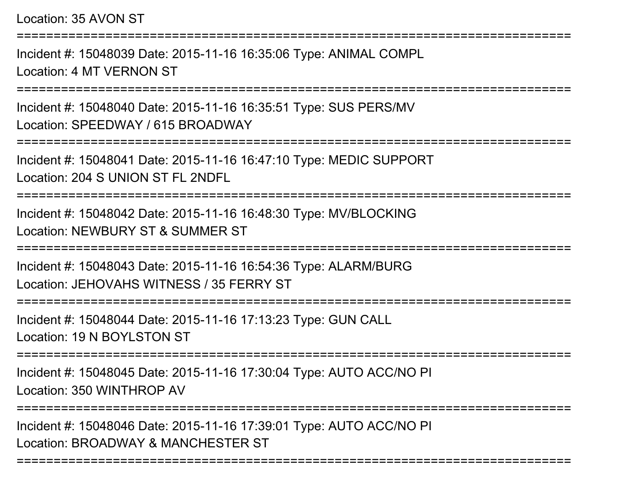Location: 35 AVON ST

===========================================================================Incident #: 15048039 Date: 2015-11-16 16:35:06 Type: ANIMAL COMPLLocation: 4 MT VERNON ST===========================================================================Incident #: 15048040 Date: 2015-11-16 16:35:51 Type: SUS PERS/MVLocation: SPEEDWAY / 615 BROADWAY ===========================================================================Incident #: 15048041 Date: 2015-11-16 16:47:10 Type: MEDIC SUPPORTLocation: 204 S UNION ST FL 2NDFL===========================================================================Incident #: 15048042 Date: 2015-11-16 16:48:30 Type: MV/BLOCKINGLocation: NEWBURY ST & SUMMER ST===========================================================================Incident #: 15048043 Date: 2015-11-16 16:54:36 Type: ALARM/BURGLocation: JEHOVAHS WITNESS / 35 FERRY ST===========================================================================Incident #: 15048044 Date: 2015-11-16 17:13:23 Type: GUN CALLLocation: 19 N BOYLSTON ST============================== Incident #: 15048045 Date: 2015-11-16 17:30:04 Type: AUTO ACC/NO PILocation: 350 WINTHROP AV

Incident #: 15048046 Date: 2015-11-16 17:39:01 Type: AUTO ACC/NO PILocation: BROADWAY & MANCHESTER ST

===========================================================================

===========================================================================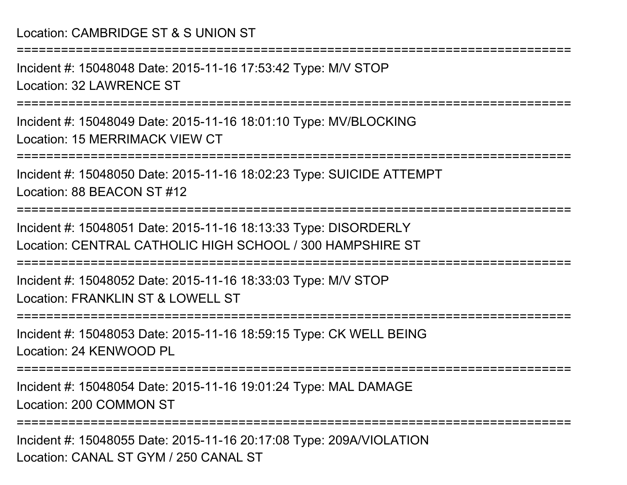## Location: CAMBRIDGE ST & S UNION ST

Incident #: 15048048 Date: 2015-11-16 17:53:42 Type: M/V STOPLocation: 32 LAWRENCE ST

===========================================================================

===========================================================================

Incident #: 15048049 Date: 2015-11-16 18:01:10 Type: MV/BLOCKINGLocation: 15 MERRIMACK VIEW CT

===========================================================================

Incident #: 15048050 Date: 2015-11-16 18:02:23 Type: SUICIDE ATTEMPTLocation: 88 BEACON ST #12

===========================================================================

Incident #: 15048051 Date: 2015-11-16 18:13:33 Type: DISORDERLYLocation: CENTRAL CATHOLIC HIGH SCHOOL / 300 HAMPSHIRE ST

===========================================================================

Incident #: 15048052 Date: 2015-11-16 18:33:03 Type: M/V STOPLocation: FRANKLIN ST & LOWELL ST

===========================================================================

Incident #: 15048053 Date: 2015-11-16 18:59:15 Type: CK WELL BEINGLocation: 24 KENWOOD PL

===========================================================================

Incident #: 15048054 Date: 2015-11-16 19:01:24 Type: MAL DAMAGELocation: 200 COMMON ST

===========================================================================

Incident #: 15048055 Date: 2015-11-16 20:17:08 Type: 209A/VIOLATIONLocation: CANAL ST GYM / 250 CANAL ST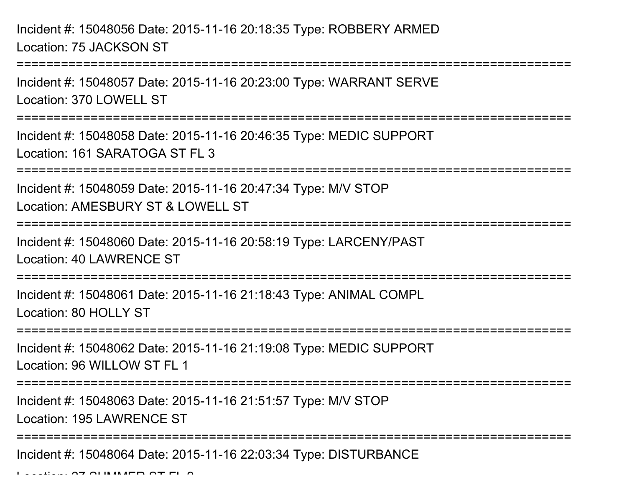Incident #: 15048056 Date: 2015-11-16 20:18:35 Type: ROBBERY ARMEDLocation: 75 JACKSON ST

Incident #: 15048057 Date: 2015-11-16 20:23:00 Type: WARRANT SERVELocation: 370 LOWELL ST

===========================================================================

===========================================================================

Incident #: 15048058 Date: 2015-11-16 20:46:35 Type: MEDIC SUPPORTLocation: 161 SARATOGA ST FL 3

===========================================================================

Incident #: 15048059 Date: 2015-11-16 20:47:34 Type: M/V STOPLocation: AMESBURY ST & LOWELL ST

```
===========================================================================
```
Incident #: 15048060 Date: 2015-11-16 20:58:19 Type: LARCENY/PASTLocation: 40 LAWRENCE ST

===========================================================================

Incident #: 15048061 Date: 2015-11-16 21:18:43 Type: ANIMAL COMPLLocation: 80 HOLLY ST

===========================================================================

Incident #: 15048062 Date: 2015-11-16 21:19:08 Type: MEDIC SUPPORTLocation: 96 WILLOW ST FL 1

===========================================================================

Incident #: 15048063 Date: 2015-11-16 21:51:57 Type: M/V STOP

Location: 195 LAWRENCE ST

===========================================================================

Incident #: 15048064 Date: 2015-11-16 22:03:34 Type: DISTURBANCE